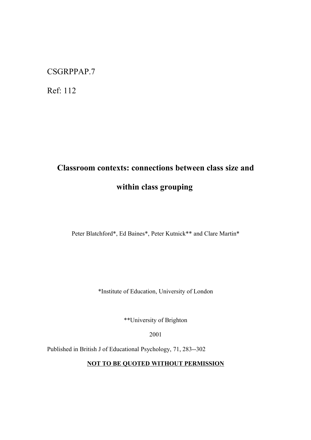# CSGRPPAP.7

Ref: 112

# **Classroom contexts: connections between class size and within class grouping**

Peter Blatchford\*, Ed Baines\*, Peter Kutnick\*\* and Clare Martin\*

\*Institute of Education, University of London

\*\*University of Brighton

2001

Published in British J of Educational Psychology, 71, 283--302

**NOT TO BE QUOTED WITHOUT PERMISSION**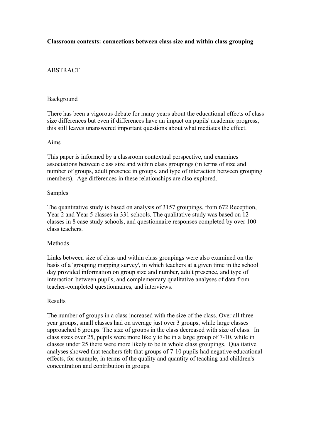## **Classroom contexts: connections between class size and within class grouping**

## ABSTRACT

#### Background

There has been a vigorous debate for many years about the educational effects of class size differences but even if differences have an impact on pupils' academic progress, this still leaves unanswered important questions about what mediates the effect.

#### Aims

This paper is informed by a classroom contextual perspective, and examines associations between class size and within class groupings (in terms of size and number of groups, adult presence in groups, and type of interaction between grouping members). Age differences in these relationships are also explored.

#### Samples

The quantitative study is based on analysis of 3157 groupings, from 672 Reception, Year 2 and Year 5 classes in 331 schools. The qualitative study was based on 12 classes in 8 case study schools, and questionnaire responses completed by over 100 class teachers.

### Methods

Links between size of class and within class groupings were also examined on the basis of a 'grouping mapping survey', in which teachers at a given time in the school day provided information on group size and number, adult presence, and type of interaction between pupils, and complementary qualitative analyses of data from teacher-completed questionnaires, and interviews.

#### Results

The number of groups in a class increased with the size of the class. Over all three year groups, small classes had on average just over 3 groups, while large classes approached 6 groups. The size of groups in the class decreased with size of class. In class sizes over 25, pupils were more likely to be in a large group of 7-10, while in classes under 25 there were more likely to be in whole class groupings. Qualitative analyses showed that teachers felt that groups of 7-10 pupils had negative educational effects, for example, in terms of the quality and quantity of teaching and children's concentration and contribution in groups.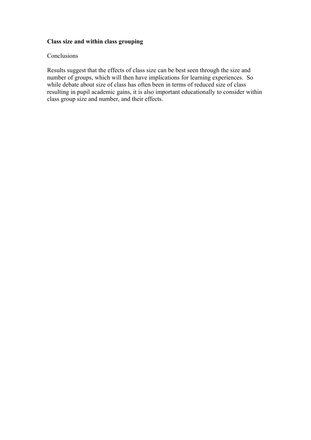## **Class size and within class grouping**

## Conclusions

Results suggest that the effects of class size can be best seen through the size and number of groups, which will then have implications for learning experiences. So while debate about size of class has often been in terms of reduced size of class resulting in pupil academic gains, it is also important educationally to consider within class group size and number, and their effects.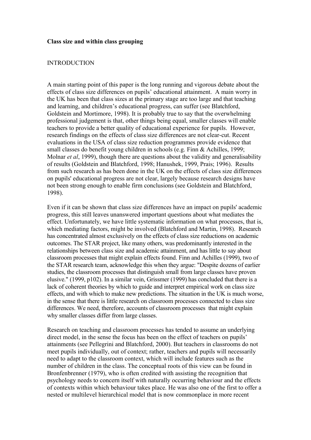#### **Class size and within class grouping**

#### INTRODUCTION

A main starting point of this paper is the long running and vigorous debate about the effects of class size differences on pupils' educational attainment. A main worry in the UK has been that class sizes at the primary stage are too large and that teaching and learning, and children's educational progress, can suffer (see Blatchford, Goldstein and Mortimore, 1998). It is probably true to say that the overwhelming professional judgement is that, other things being equal, smaller classes will enable teachers to provide a better quality of educational experience for pupils. However, research findings on the effects of class size differences are not clear-cut. Recent evaluations in the USA of class size reduction programmes provide evidence that small classes do benefit young children in schools (e.g. Finn & Achilles, 1999; Molnar *et al*, 1999), though there are questions about the validity and generalisability of results (Goldstein and Blatchford, 1998; Hanushek, 1999, Prais; 1996). Results from such research as has been done in the UK on the effects of class size differences on pupils' educational progress are not clear, largely because research designs have not been strong enough to enable firm conclusions (see Goldstein and Blatchford, 1998).

Even if it can be shown that class size differences have an impact on pupils' academic progress, this still leaves unanswered important questions about what mediates the effect. Unfortunately, we have little systematic information on what processes, that is, which mediating factors, might be involved (Blatchford and Martin, 1998). Research has concentrated almost exclusively on the effects of class size reductions on academic outcomes. The STAR project, like many others, was predominantly interested in the relationships between class size and academic attainment, and has little to say about classroom processes that might explain effects found. Finn and Achilles (1999), two of the STAR research team, acknowledge this when they argue: "Despite dozens of earlier studies, the classroom processes that distinguish small from large classes have proven elusive." (1999, p102). In a similar vein, Grissmer (1999) has concluded that there is a lack of coherent theories by which to guide and interpret empirical work on class size effects, and with which to make new predictions. The situation in the UK is much worse, in the sense that there is little research on classroom processes connected to class size differences. We need, therefore, accounts of classroom processes that might explain why smaller classes differ from large classes.

Research on teaching and classroom processes has tended to assume an underlying direct model, in the sense the focus has been on the effect of teachers on pupils' attainments (see Pellegrini and Blatchford, 2000). But teachers in classrooms do not meet pupils individually, out of context; rather, teachers and pupils will necessarily need to adapt to the classroom context, which will include features such as the number of children in the class. The conceptual roots of this view can be found in Bronfenbrenner (1979), who is often credited with assisting the recognition that psychology needs to concern itself with naturally occurring behaviour and the effects of contexts within which behaviour takes place. He was also one of the first to offer a nested or multilevel hierarchical model that is now commonplace in more recent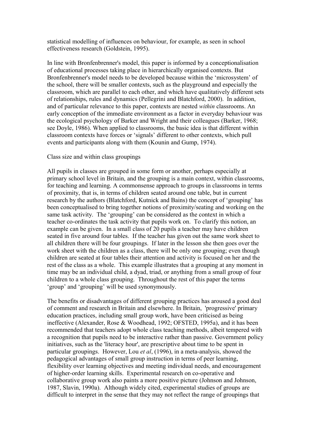statistical modelling of influences on behaviour, for example, as seen in school effectiveness research (Goldstein, 1995).

In line with Bronfenbrenner's model, this paper is informed by a conceptionalisation of educational processes taking place in hierarchically organised contexts. But Bronfenbrenner's model needs to be developed because within the 'microsystem' of the school, there will be smaller contexts, such as the playground and especially the classroom, which are parallel to each other, and which have qualitatively different sets of relationships, rules and dynamics (Pellegrini and Blatchford, 2000). In addition, and of particular relevance to this paper, contexts are nested *within* classrooms. An early conception of the immediate environment as a factor in everyday behaviour was the ecological psychology of Barker and Wright and their colleagues (Barker, 1968; see Doyle, 1986). When applied to classrooms, the basic idea is that different within classroom contexts have forces or 'signals' different to other contexts, which pull events and participants along with them (Kounin and Gump, 1974).

#### Class size and within class groupings

All pupils in classes are grouped in some form or another, perhaps especially at primary school level in Britain, and the grouping is a main context, within classrooms, for teaching and learning. A commonsense approach to groups in classrooms in terms of proximity, that is, in terms of children seated around one table, but in current research by the authors (Blatchford, Kutnick and Bains) the concept of 'grouping' has been conceptualised to bring together notions of proximity/seating and working on the same task activity. The 'grouping' can be considered as the context in which a teacher co-ordinates the task activity that pupils work on. To clarify this notion, an example can be given. In a small class of 20 pupils a teacher may have children seated in five around four tables. If the teacher has given out the same work sheet to all children there will be four groupings. If later in the lesson she then goes over the work sheet with the children as a class, there will be only one grouping; even though children are seated at four tables their attention and activity is focused on her and the rest of the class as a whole. This example illustrates that a grouping at any moment in time may be an individual child, a dyad, triad, or anything from a small group of four children to a whole class grouping. Throughout the rest of this paper the terms 'group' and 'grouping' will be used synonymously.

The benefits or disadvantages of different grouping practices has aroused a good deal of comment and research in Britain and elsewhere. In Britain, 'progressive' primary education practices, including small group work, have been criticised as being ineffective (Alexander, Rose & Woodhead, 1992; OFSTED, 1995a), and it has been recommended that teachers adopt whole class teaching methods, albeit tempered with a recognition that pupils need to be interactive rather than passive. Government policy initiatives, such as the 'literacy hour', are prescriptive about time to be spent in particular groupings. However, Lou *et al*, (1996), in a meta-analysis, showed the pedagogical advantages of small group instruction in terms of peer learning, flexibility over learning objectives and meeting individual needs, and encouragement of higher-order learning skills. Experimental research on co-operative and collaborative group work also paints a more positive picture (Johnson and Johnson, 1987, Slavin, 1990a). Although widely cited, experimental studies of groups are difficult to interpret in the sense that they may not reflect the range of groupings that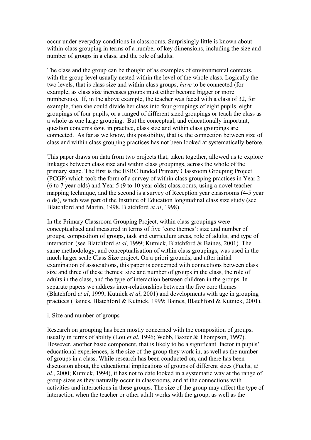occur under everyday conditions in classrooms. Surprisingly little is known about within-class grouping in terms of a number of key dimensions, including the size and number of groups in a class, and the role of adults.

The class and the group can be thought of as examples of environmental contexts, with the group level usually nested within the level of the whole class. Logically the two levels, that is class size and within class groups, *have* to be connected (for example, as class size increases groups must either become bigger or more numberous). If, in the above example, the teacher was faced with a class of 32, for example, then she could divide her class into four groupings of eight pupils, eight groupings of four pupils, or a ranged of different sized groupings or teach the class as a whole as one large grouping. But the conceptual, and educationally important, question concerns *how*, in practice, class size and within class groupings are connected. As far as we know, this possibility, that is, the connection between size of class and within class grouping practices has not been looked at systematically before.

This paper draws on data from two projects that, taken together, allowed us to explore linkages between class size and within class groupings, across the whole of the primary stage. The first is the ESRC funded Primary Classroom Grouping Project (PCGP) which took the form of a survey of within class grouping practices in Year 2 (6 to 7 year olds) and Year 5 (9 to 10 year olds) classrooms, using a novel teacher mapping technique, and the second is a survey of Reception year classrooms (4-5 year olds), which was part of the Institute of Education longitudinal class size study (see Blatchford and Martin, 1998, Blatchford *et al*, 1998).

In the Primary Classroom Grouping Project, within class groupings were conceptualised and measured in terms of five 'core themes': size and number of groups, composition of groups, task and curriculum areas, role of adults, and type of interaction (see Blatchford *et al*, 1999; Kutnick, Blatchford & Baines, 2001). The same methodology, and conceptualisation of within class groupings, was used in the much larger scale Class Size project. On a priori grounds, and after initial examination of associations, this paper is concerned with connections between class size and three of these themes: size and number of groups in the class, the role of adults in the class, and the type of interaction between children in the groups. In separate papers we address inter-relationships between the five core themes (Blatchford *et al*, 1999; Kutnick *et al*, 2001) and developments with age in grouping practices (Baines, Blatchford & Kutnick, 1999; Baines, Blatchford & Kutnick, 2001).

#### i. Size and number of groups

Research on grouping has been mostly concerned with the composition of groups, usually in terms of ability (Lou *et al*, 1996; Webb, Baxter & Thompson, 1997). However, another basic component, that is likely to be a significant factor in pupils' educational experiences, is the size of the group they work in, as well as the number of groups in a class. While research has been conducted on, and there has been discussion about, the educational implications of groups of different sizes (Fuchs, *et al*., 2000; Kutnick, 1994), it has not to date looked in a systematic way at the range of group sizes as they naturally occur in classrooms, and at the connections with activities and interactions in these groups. The size of the group may affect the type of interaction when the teacher or other adult works with the group, as well as the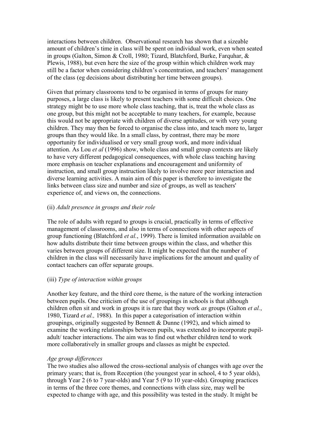interactions between children. Observational research has shown that a sizeable amount of children's time in class will be spent on individual work, even when seated in groups (Galton, Simon & Croll, 1980; Tizard, Blatchford, Burke, Farquhar, & Plewis, 1988), but even here the size of the group within which children work may still be a factor when considering children's concentration, and teachers' management of the class (eg decisions about distributing her time between groups).

Given that primary classrooms tend to be organised in terms of groups for many purposes, a large class is likely to present teachers with some difficult choices. One strategy might be to use more whole class teaching, that is, treat the whole class as one group, but this might not be acceptable to many teachers, for example, because this would not be appropriate with children of diverse aptitudes, or with very young children. They may then be forced to organise the class into, and teach more to, larger groups than they would like. In a small class, by contrast, there may be more opportunity for individualised or very small group work, and more individual attention. As Lou *et al* (1996) show, whole class and small group contexts are likely to have very different pedagogical consequences, with whole class teaching having more emphasis on teacher explanations and encouragement and uniformity of instruction, and small group instruction likely to involve more peer interaction and diverse learning activities. A main aim of this paper is therefore to investigate the links between class size and number and size of groups, as well as teachers' experience of, and views on, the connections.

## (ii) *Adult presence in groups and their role*

The role of adults with regard to groups is crucial, practically in terms of effective management of classrooms, and also in terms of connections with other aspects of group functioning (Blatchford *et al.*, 1999). There is limited information available on how adults distribute their time between groups within the class, and whether this varies between groups of different size. It might be expected that the number of children in the class will necessarily have implications for the amount and quality of contact teachers can offer separate groups.

### (iii) *Type of interaction within groups*

Another key feature, and the third core theme, is the nature of the working interaction between pupils. One criticism of the use of groupings in schools is that although children often sit and work in groups it is rare that they work *as* groups (Galton *et al.*, 1980, Tizard *et al.,* 1988). In this paper a categorisation of interaction within groupings, originally suggested by Bennett & Dunne (1992), and which aimed to examine the working relationships between pupils, was extended to incorporate pupiladult/ teacher interactions. The aim was to find out whether children tend to work more collaboratively in smaller groups and classes as might be expected.

### *Age group differences*

The two studies also allowed the cross-sectional analysis of changes with age over the primary years; that is, from Reception (the youngest year in school, 4 to 5 year olds), through Year 2 (6 to 7 year-olds) and Year 5 (9 to 10 year-olds). Grouping practices in terms of the three core themes, and connections with class size, may well be expected to change with age, and this possibility was tested in the study. It might be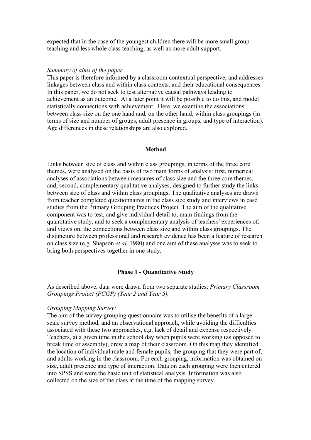expected that in the case of the youngest children there will be more small group teaching and less whole class teaching, as well as more adult support.

#### *Summary of aims of the paper*

This paper is therefore informed by a classroom contextual perspective, and addresses linkages between class and within class contexts, and their educational consequences. In this paper, we do not seek to test alternative causal pathways leading to achievement as an outcome. At a later point it will be possible to do this, and model statistically connections with achievement. Here, we examine the associations between class size on the one hand and, on the other hand, within class groupings (in terms of size and number of groups, adult presence in groups, and type of interaction). Age differences in these relationships are also explored.

#### **Method**

Links between size of class and within class groupings, in terms of the three core themes, were analysed on the basis of two main forms of analysis: first, numerical analyses of associations between measures of class size and the three core themes, and, second, complementary qualitative analyses, designed to further study the links between size of class and within class groupings. The qualitative analyses are drawn from teacher completed questionnaires in the class size study and interviews in case studies from the Primary Grouping Practices Project. The aim of the qualitative component was to test, and give individual detail to, main findings from the quantitative study, and to seek a complementary analysis of teachers' experiences of, and views on, the connections between class size and within class groupings. The disjuncture between professional and research evidence has been a feature of research on class size (e.g. Shapson *et al.* 1980) and one aim of these analyses was to seek to bring both perspectives together in one study.

### **Phase 1 - Quantitative Study**

As described above, data were drawn from two separate studies: *Primary Classroom Groupings Project (PCGP) (Year 2 and Year 5).*

#### *Grouping Mapping Survey:*

The aim of the survey grouping questionnaire was to utilise the benefits of a large scale survey method, and an observational approach, while avoiding the difficulties associated with these two approaches, e.g. lack of detail and expense respectively. Teachers, at a given time in the school day when pupils were working (as opposed to break time or assembly), drew a map of their classroom. On this map they identified the location of individual male and female pupils, the grouping that they were part of, and adults working in the classroom. For each grouping, information was obtained on size, adult presence and type of interaction. Data on each grouping were then entered into SPSS and were the basic unit of statistical analysis. Information was also collected on the size of the class at the time of the mapping survey.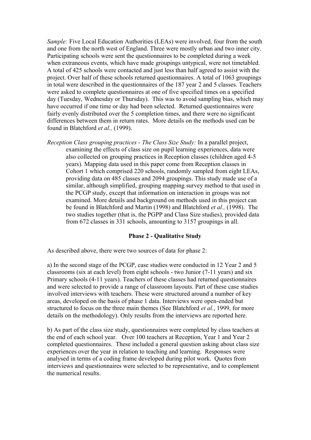*Sample:* Five Local Education Authorities (LEAs) were involved, four from the south and one from the north west of England. Three were mostly urban and two inner city. Participating schools were sent the questionnaires to be completed during a week when extraneous events, which have made groupings untypical, were not timetabled. A total of 425 schools were contacted and just less than half agreed to assist with the project. Over half of these schools returned questionnaires. A total of 1063 groupings in total were described in the questionnaires of the 187 year 2 and 5 classes. Teachers were asked to complete questionnaires at one of five specified times on a specified day (Tuesday, Wednesday or Thursday). This was to avoid sampling bias, which may have occurred if one time or day had been selected. Returned questionnaires were fairly evenly distributed over the 5 completion times, and there were no significant differences between them in return rates. More details on the methods used can be found in Blatchford *et al.,* (1999).

*Reception Class grouping practices - The Class Size Study:* In a parallel project, examining the effects of class size on pupil learning experiences, data were also collected on grouping practices in Reception classes (children aged 4-5 years). Mapping data used in this paper come from Reception classes in Cohort 1 which comprised 220 schools, randomly sampled from eight LEAs, providing data on 485 classes and 2094 groupings. This study made use of a similar, although simplified, grouping mapping survey method to that used in the PCGP study, except that information on interaction in groups was not examined. More details and background on methods used in this project can be found in Blatchford and Martin (1998) and Blatchford *et al.,* (1998). The two studies together (that is, the PGPP and Class Size studies), provided data from 672 classes in 331 schools, amounting to 3157 groupings in all.

#### **Phase 2 - Qualitative Study**

As described above, there were two sources of data for phase 2:

a) In the second stage of the PCGP, case studies were conducted in 12 Year 2 and 5 classrooms (six at each level) from eight schools - two Junior (7-11 years) and six Primary schools (4-11 years). Teachers of these classes had returned questionnaires and were selected to provide a range of classroom layouts. Part of these case studies involved interviews with teachers. These were structured around a number of key areas, developed on the basis of phase 1 data. Interviews were open-ended but structured to focus on the three main themes (See Blatchford *et al.*, 1999, for more details on the methodology). Only results from the interviews are reported here.

b) As part of the class size study, questionnaires were completed by class teachers at the end of each school year. Over 100 teachers at Reception, Year 1 and Year 2 completed questionnaires. These included a general question asking about class size experiences over the year in relation to teaching and learning. Responses were analysed in terms of a coding frame developed during pilot work. Quotes from interviews and questionnaires were selected to be representative, and to complement the numerical results.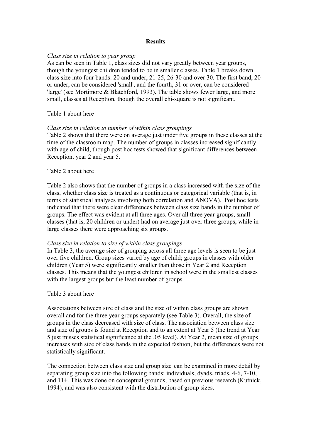#### **Results**

#### *Class size in relation to year group*

As can be seen in Table 1, class sizes did not vary greatly between year groups, though the youngest children tended to be in smaller classes. Table 1 breaks down class size into four bands: 20 and under, 21-25, 26-30 and over 30. The first band, 20 or under, can be considered 'small', and the fourth, 31 or over, can be considered 'large' (see Mortimore & Blatchford, 1993). The table shows fewer large, and more small, classes at Reception, though the overall chi-square is not significant.

### Table 1 about here

### *Class size in relation to number of within class groupings*

Table 2 shows that there were on average just under five groups in these classes at the time of the classroom map. The number of groups in classes increased significantly with age of child, though post hoc tests showed that significant differences between Reception, year 2 and year 5.

### Table 2 about here

Table 2 also shows that the number of groups in a class increased with the size of the class, whether class size is treated as a continuous or categorical variable (that is, in terms of statistical analyses involving both correlation and ANOVA). Post hoc tests indicated that there were clear differences between class size bands in the number of groups. The effect was evident at all three ages. Over all three year groups, small classes (that is, 20 children or under) had on average just over three groups, while in large classes there were approaching six groups.

#### *Class size in relation to size of within class groupings*

In Table 3, the average size of grouping across all three age levels is seen to be just over five children. Group sizes varied by age of child; groups in classes with older children (Year 5) were significantly smaller than those in Year 2 and Reception classes. This means that the youngest children in school were in the smallest classes with the largest groups but the least number of groups.

### Table 3 about here

Associations between size of class and the size of within class groups are shown overall and for the three year groups separately (see Table 3). Overall, the size of groups in the class decreased with size of class. The association between class size and size of groups is found at Reception and to an extent at Year 5 (the trend at Year 5 just misses statistical significance at the .05 level). At Year 2, mean size of groups increases with size of class bands in the expected fashion, but the differences were not statistically significant.

The connection between class size and group size can be examined in more detail by separating group size into the following bands: individuals, dyads, triads, 4-6, 7-10, and 11+. This was done on conceptual grounds, based on previous research (Kutnick, 1994), and was also consistent with the distribution of group sizes.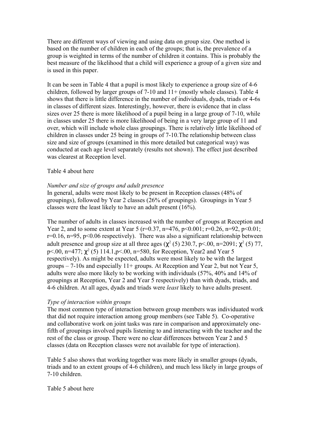There are different ways of viewing and using data on group size. One method is based on the number of children in each of the groups; that is, the prevalence of a group is weighted in terms of the number of children it contains. This is probably the best measure of the likelihood that a child will experience a group of a given size and is used in this paper.

It can be seen in Table 4 that a pupil is most likely to experience a group size of 4-6 children, followed by larger groups of 7-10 and 11+ (mostly whole classes). Table 4 shows that there is little difference in the number of individuals, dyads, triads or 4-6s in classes of different sizes. Interestingly, however, there is evidence that in class sizes over 25 there is more likelihood of a pupil being in a large group of 7-10, while in classes under 25 there is more likelihood of being in a very large group of 11 and over, which will include whole class groupings. There is relatively little likelihood of children in classes under 25 being in groups of 7-10.The relationship between class size and size of groups (examined in this more detailed but categorical way) was conducted at each age level separately (results not shown). The effect just described was clearest at Reception level.

#### Table 4 about here

#### *Number and size of groups and adult presence*

In general, adults were most likely to be present in Reception classes (48% of groupings), followed by Year 2 classes (26% of groupings). Groupings in Year 5 classes were the least likely to have an adult present (16%).

The number of adults in classes increased with the number of groups at Reception and Year 2, and to some extent at Year 5 (r=0.37, n=476, p<0.001; r=0.26, n=92, p<0.01;  $r=0.16$ ,  $n=95$ ,  $p<0.06$  respectively). There was also a significant relationship between adult presence and group size at all three ages  $(\chi^2(5)$  230.7, p<.00, n=2091;  $\chi^2(5)$  77, p<.00, n=477;  $\chi^2$  (5) 114.1, p <.00, n=580, for Reception, Year2 and Year 5 respectively). As might be expected, adults were most likely to be with the largest groups  $-7$ -10s and especially 11+ groups. At Reception and Year 2, but not Year 5, adults were also more likely to be working with individuals (57%, 40% and 14% of groupings at Reception, Year 2 and Year 5 respectively) than with dyads, triads, and 4-6 children. At all ages, dyads and triads were *least* likely to have adults present.

### *Type of interaction within groups*

The most common type of interaction between group members was individuated work that did not require interaction among group members (see Table 5). Co-operative and collaborative work on joint tasks was rare in comparison and approximately onefifth of groupings involved pupils listening to and interacting with the teacher and the rest of the class or group. There were no clear differences between Year 2 and 5 classes (data on Reception classes were not available for type of interaction).

Table 5 also shows that working together was more likely in smaller groups (dyads, triads and to an extent groups of 4-6 children), and much less likely in large groups of 7-10 children.

#### Table 5 about here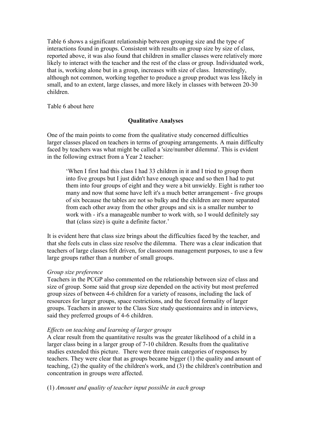Table 6 shows a significant relationship between grouping size and the type of interactions found in groups. Consistent with results on group size by size of class, reported above, it was also found that children in smaller classes were relatively more likely to interact with the teacher and the rest of the class or group. Individuated work, that is, working alone but in a group, increases with size of class. Interestingly, although not common, working together to produce a group product was less likely in small, and to an extent, large classes, and more likely in classes with between 20-30 children.

Table 6 about here

## **Qualitative Analyses**

One of the main points to come from the qualitative study concerned difficulties larger classes placed on teachers in terms of grouping arrangements. A main difficulty faced by teachers was what might be called a 'size/number dilemma'. This is evident in the following extract from a Year 2 teacher:

'When I first had this class I had 33 children in it and I tried to group them into five groups but I just didn't have enough space and so then I had to put them into four groups of eight and they were a bit unwieldy. Eight is rather too many and now that some have left it's a much better arrangement - five groups of six because the tables are not so bulky and the children are more separated from each other away from the other groups and six is a smaller number to work with - it's a manageable number to work with, so I would definitely say that (class size) is quite a definite factor.'

It is evident here that class size brings about the difficulties faced by the teacher, and that she feels cuts in class size resolve the dilemma. There was a clear indication that teachers of large classes felt driven, for classroom management purposes, to use a few large groups rather than a number of small groups.

### *Group size preference*

Teachers in the PCGP also commented on the relationship between size of class and size of group. Some said that group size depended on the activity but most preferred group sizes of between 4-6 children for a variety of reasons, including the lack of resources for larger groups, space restrictions, and the forced formality of larger groups. Teachers in answer to the Class Size study questionnaires and in interviews, said they preferred groups of 4-6 children.

## *Effects on teaching and learning of larger groups*

A clear result from the quantitative results was the greater likelihood of a child in a larger class being in a larger group of 7-10 children. Results from the qualitative studies extended this picture. There were three main categories of responses by teachers. They were clear that as groups became bigger (1) the quality and amount of teaching, (2) the quality of the children's work, and (3) the children's contribution and concentration in groups were affected.

(1) *Amount and quality of teacher input possible in each group*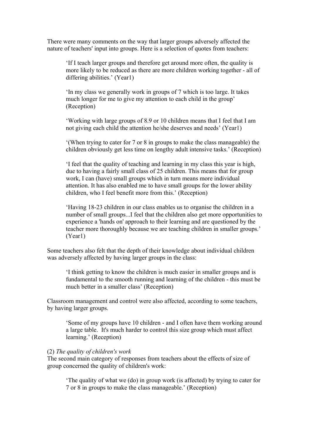There were many comments on the way that larger groups adversely affected the nature of teachers' input into groups. Here is a selection of quotes from teachers:

'If I teach larger groups and therefore get around more often, the quality is more likely to be reduced as there are more children working together - all of differing abilities.' (Year1)

'In my class we generally work in groups of 7 which is too large. It takes much longer for me to give my attention to each child in the group' (Reception)

'Working with large groups of 8.9 or 10 children means that I feel that I am not giving each child the attention he/she deserves and needs' (Year1)

'(When trying to cater for 7 or 8 in groups to make the class manageable) the children obviously get less time on lengthy adult intensive tasks.' (Reception)

'I feel that the quality of teaching and learning in my class this year is high, due to having a fairly small class of 25 children. This means that for group work, I can (have) small groups which in turn means more individual attention. It has also enabled me to have small groups for the lower ability children, who I feel benefit more from this.' (Reception)

'Having 18-23 children in our class enables us to organise the children in a number of small groups...I feel that the children also get more opportunities to experience a 'hands on' approach to their learning and are questioned by the teacher more thoroughly because we are teaching children in smaller groups.' (Year1)

Some teachers also felt that the depth of their knowledge about individual children was adversely affected by having larger groups in the class:

'I think getting to know the children is much easier in smaller groups and is fundamental to the smooth running and learning of the children - this must be much better in a smaller class' (Reception)

Classroom management and control were also affected, according to some teachers, by having larger groups.

'Some of my groups have 10 children - and I often have them working around a large table. It's much harder to control this size group which must affect learning.' (Reception)

## (2) *The quality of children's work*

The second main category of responses from teachers about the effects of size of group concerned the quality of children's work:

'The quality of what we (do) in group work (is affected) by trying to cater for 7 or 8 in groups to make the class manageable.' (Reception)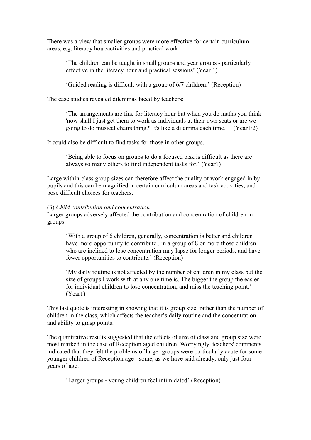There was a view that smaller groups were more effective for certain curriculum areas, e.g. literacy hour/activities and practical work:

'The children can be taught in small groups and year groups - particularly effective in the literacy hour and practical sessions' (Year 1)

'Guided reading is difficult with a group of 6/7 children.' (Reception)

The case studies revealed dilemmas faced by teachers:

'The arrangements are fine for literacy hour but when you do maths you think 'now shall I just get them to work as individuals at their own seats or are we going to do musical chairs thing?' It's like a dilemma each time… (Year1/2)

It could also be difficult to find tasks for those in other groups.

'Being able to focus on groups to do a focused task is difficult as there are always so many others to find independent tasks for.' (Year1)

Large within-class group sizes can therefore affect the quality of work engaged in by pupils and this can be magnified in certain curriculum areas and task activities, and pose difficult choices for teachers.

#### (3) *Child contribution and concentration*

Larger groups adversely affected the contribution and concentration of children in groups:

'With a group of 6 children, generally, concentration is better and children have more opportunity to contribute...in a group of 8 or more those children who are inclined to lose concentration may lapse for longer periods, and have fewer opportunities to contribute.' (Reception)

'My daily routine is not affected by the number of children in my class but the size of groups I work with at any one time is. The bigger the group the easier for individual children to lose concentration, and miss the teaching point.' (Year1)

This last quote is interesting in showing that it is group size, rather than the number of children in the class, which affects the teacher's daily routine and the concentration and ability to grasp points.

The quantitative results suggested that the effects of size of class and group size were most marked in the case of Reception aged children. Worryingly, teachers' comments indicated that they felt the problems of larger groups were particularly acute for some younger children of Reception age - some, as we have said already, only just four years of age.

'Larger groups - young children feel intimidated' (Reception)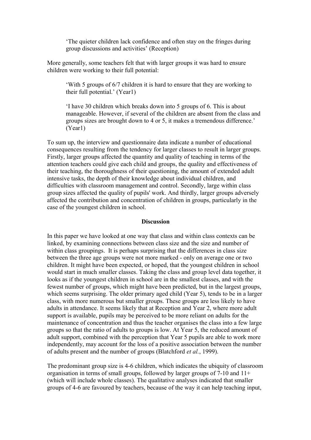'The quieter children lack confidence and often stay on the fringes during group discussions and activities' (Reception)

More generally, some teachers felt that with larger groups it was hard to ensure children were working to their full potential:

'With 5 groups of 6/7 children it is hard to ensure that they are working to their full potential.' (Year1)

'I have 30 children which breaks down into 5 groups of 6. This is about manageable. However, if several of the children are absent from the class and groups sizes are brought down to 4 or 5, it makes a tremendous difference.' (Year1)

To sum up, the interview and questionnaire data indicate a number of educational consequences resulting from the tendency for larger classes to result in larger groups. Firstly, larger groups affected the quantity and quality of teaching in terms of the attention teachers could give each child and groups, the quality and effectiveness of their teaching, the thoroughness of their questioning, the amount of extended adult intensive tasks, the depth of their knowledge about individual children, and difficulties with classroom management and control. Secondly, large within class group sizes affected the quality of pupils' work. And thirdly, larger groups adversely affected the contribution and concentration of children in groups, particularly in the case of the youngest children in school.

#### **Discussion**

In this paper we have looked at one way that class and within class contexts can be linked, by examining connections between class size and the size and number of within class groupings. It is perhaps surprising that the differences in class size between the three age groups were not more marked - only on average one or two children. It might have been expected, or hoped, that the youngest children in school would start in much smaller classes. Taking the class and group level data together, it looks as if the youngest children in school are in the smallest classes, and with the fewest number of groups, which might have been predicted, but in the largest groups, which seems surprising. The older primary aged child (Year 5), tends to be in a larger class, with more numerous but smaller groups. These groups are less likely to have adults in attendance. It seems likely that at Reception and Year 2, where more adult support is available, pupils may be perceived to be more reliant on adults for the maintenance of concentration and thus the teacher organises the class into a few large groups so that the ratio of adults to groups is low. At Year 5, the reduced amount of adult support, combined with the perception that Year 5 pupils are able to work more independently, may account for the loss of a positive association between the number of adults present and the number of groups (Blatchford *et al.*, 1999).

The predominant group size is 4-6 children, which indicates the ubiquity of classroom organisation in terms of small groups, followed by larger groups of 7-10 and 11+ (which will include whole classes). The qualitative analyses indicated that smaller groups of 4-6 are favoured by teachers, because of the way it can help teaching input,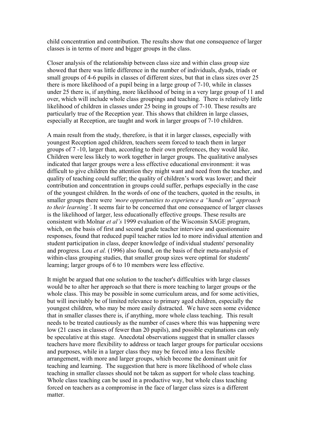child concentration and contribution. The results show that one consequence of larger classes is in terms of more and bigger groups in the class.

Closer analysis of the relationship between class size and within class group size showed that there was little difference in the number of individuals, dyads, triads or small groups of 4-6 pupils in classes of different sizes, but that in class sizes over 25 there is more likelihood of a pupil being in a large group of 7-10, while in classes under 25 there is, if anything, more likelihood of being in a very large group of 11 and over, which will include whole class groupings and teaching. There is relatively little likelihood of children in classes under 25 being in groups of 7-10. These results are particularly true of the Reception year. This shows that children in large classes, especially at Reception, are taught and work in larger groups of 7-10 children.

A main result from the study, therefore, is that it in larger classes, especially with youngest Reception aged children, teachers seem forced to teach them in larger groups of 7 -10, larger than, according to their own preferences, they would like. Children were less likely to work together in larger groups. The qualitative analyses indicated that larger groups were a less effective educational environment: it was difficult to give children the attention they might want and need from the teacher, and quality of teaching could suffer; the quality of children's work was lower; and their contribution and concentration in groups could suffer, perhaps especially in the case of the youngest children. In the words of one of the teachers, quoted in the results, in smaller groups there were *'more opportunities to experience a "hands on" approach to their learning'*. It seems fair to be concerned that one consequence of larger classes is the likelihood of larger, less educationally effective groups. These results are consistent with Molnar *et al's* 1999 evaluation of the Wisconsin SAGE program, which, on the basis of first and second grade teacher interview and questionnaire responses, found that reduced pupil teacher ratios led to more individual attention and student participation in class, deeper knowledge of individual students' personality and progress. Lou *et al.* (1996) also found, on the basis of their meta-analysis of within-class grouping studies, that smaller group sizes were optimal for students' learning; larger groups of 6 to 10 members were less effective.

It might be argued that one solution to the teacher's difficulties with large classes would be to alter her approach so that there is more teaching to larger groups or the whole class. This may be possible in some curriculum areas, and for some activities, but will inevitably be of limited relevance to primary aged children, especially the youngest children, who may be more easily distracted. We have seen some evidence that in smaller classes there is, if anything, more whole class teaching. This result needs to be treated cautiously as the number of cases where this was happening were low (21 cases in classes of fewer than 20 pupils), and possible explanations can only be speculative at this stage. Anecdotal observations suggest that in smaller classes teachers have more flexibility to address or teach larger groups for particular occsions and purposes, while in a larger class they may be forced into a less flexible arrangement, with more and larger groups, which become the dominant unit for teaching and learning. The suggestion that here is more likelihood of whole class teaching in smaller classes should not be taken as support for whole class teaching. Whole class teaching can be used in a productive way, but whole class teaching forced on teachers as a compromise in the face of larger class sizes is a different matter.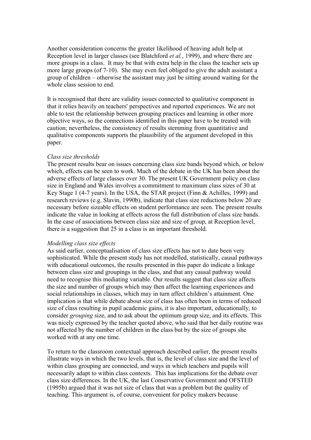Another consideration concerns the greater likelihood of heaving adult help at Reception level in larger classes (see Blatchford *et al.*, 1999), and where there are more groups in a class. It may be that with extra help in the class the teacher sets up more large groups (of 7-10). She may even feel obliged to give the adult assistant a group of children – otherwise the assistant may just be sitting around waiting for the whole class session to end.

It is recognised that there are validity issues connected to qualitative component in that it relies heavily on teachers' perspectives and reported experiences. We are not able to test the relationship between grouping practices and learning in other more objective ways, so the connections identified in this paper have to be treated with caution; nevertheless, the consistency of results stemming from quantitative and qualitative components supports the plausibility of the argument developed in this paper.

#### *Class size thresholds*

The present results bear on issues concerning class size bands beyond which, or below which, effects can be seen to work. Much of the debate in the UK has been about the adverse effects of large classes over 30. The present UK Government policy on class size in England and Wales involves a commitment to maximum class sizes of 30 at Key Stage 1 (4-7 years). In the USA, the STAR project (Finn & Achilles, 1999) and research reviews (e.g. Slavin, 1990b), indicate that class size reductions below 20 are necessary before sizeable effects on student performance are seen. The present results indicate the value in looking at effects across the full distribution of class size bands. In the case of associations between class size and size of group, at Reception level, there is a suggestion that 25 in a class is an important threshold.

### *Modelling class size effects*

As said earlier, conceptualisation of class size effects has not to date been very sophisticated. While the present study has not modelled, statistically, causal pathways with educational outcomes, the results presented in this paper do indicate a linkage between class size and groupings in the class, and that any causal pathway would need to recognise this mediating variable. Our results suggest that class size affects the size and number of groups which may then affect the learning experiences and social relationships in classes, which may in turn affect children's attainment. One implication is that while debate about size of class has often been in terms of reduced size of class resulting in pupil academic gains, it is also important, educationally, to consider *grouping* size, and to ask about the optimum group size, and its effects. This was nicely expressed by the teacher quoted above, who said that her daily routine was not affected by the number of children in the class but by the size of groups she worked with at any one time.

To return to the classroom contextual approach described earlier, the present results illustrate ways in which the two levels, that is, the level of class size and the level of within class grouping are connected, and ways in which teachers and pupils will necessarily adapt to within class contexts. This has implications for the debate over class size differences. In the UK, the last Conservative Government and OFSTED (1995b) argued that it was not size of class that was a problem but the quality of teaching. This argument is, of course, convenient for policy makers because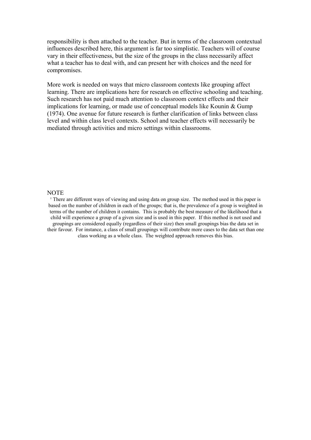responsibility is then attached to the teacher. But in terms of the classroom contextual influences described here, this argument is far too simplistic. Teachers will of course vary in their effectiveness, but the size of the groups in the class necessarily affect what a teacher has to deal with, and can present her with choices and the need for compromises.

More work is needed on ways that micro classroom contexts like grouping affect learning. There are implications here for research on effective schooling and teaching. Such research has not paid much attention to classroom context effects and their implications for learning, or made use of conceptual models like Kounin & Gump (1974). One avenue for future research is further clarification of links between class level and within class level contexts. School and teacher effects will necessarily be mediated through activities and micro settings within classrooms.

## **NOTE**

<sup>I</sup> There are different ways of viewing and using data on group size. The method used in this paper is based on the number of children in each of the groups; that is, the prevalence of a group is weighted in terms of the number of children it contains. This is probably the best measure of the likelihood that a child will experience a group of a given size and is used in this paper. If this method is not used and groupings are considered equally (regardless of their size) then small groupings bias the data set in their favour. For instance, a class of small groupings will contribute more cases to the data set than one class working as a whole class. The weighted approach removes this bias.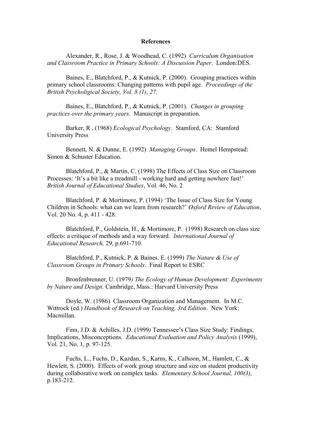#### **References**

Alexander, R., Rose, J. & Woodhead, C. (1992) *Curriculum Organisation and Classroom Practice in Primary Schools: A Discussion Paper*. London:DES.

Baines, E., Blatchford, P., & Kutnick, P. (2000). Grouping practices within primary school classrooms: Changing patterns with pupil age. *Proceedings of the British Psycholigical Society, Vol. 8 (1), 27.*

Baines, E., Blatchford, P., & Kutnick, P. (2001). *Changes in grouping practices over the primary years.* Manuscript in preparation.

Barker, R , (1968) *Ecological Psychology*. Stamford, CA: Stamford University Press

Bennett, N. & Dunne, E. (1992) *Managing Groups*. Hemel Hempstead: Simon & Schuster Education.

Blatchford, P., & Martin, C. (1998) The Effects of Class Size on Classroom Processes: 'It's a bit like a treadmill - working hard and getting nowhere fast!' *British Journal of Educational Studies*, Vol. 46, No. 2

Blatchford, P. & Mortimore, P. (1994) 'The Issue of Class Size for Young Children in Schools: what can we learn from research?' *Oxford Review of Education*, Vol. 20 No. 4, p. 411 - 428.

Blatchford, P., Goldstein, H., & Mortimore, P. (1998) Research on class size effects: a critique of methods and a way forward*. International Journal of Educational Research,* 29, p.691-710.

Blatchford, P., Kutnick, P. & Baines. E. (1999) *The Nature & Use of Classroom Groups in Primary Schools*. Final Report to ESRC

Bronfenbrenner, U. (1979*) The Ecology of Human Development: Experiments by Nature and Design.* Cambridge, Mass.: Harvard University Press

Doyle, W. (1986) Classroom Organization and Management. In M.C. Wittrock (ed.) *Handbook of Research on Teaching, 3rd Edition*. New York: Macmillan.

Finn, J.D. & Achilles, J.D. (1999*)* Tennessee's Class Size Study: Findings, Implications, Misconceptions*. Educational Evaluation and Policy Analysis* (1999), Vol. 21, No. 1, p. 97-125.

Fuchs, L., Fuchs, D., Kazdan, S., Karns, K., Calhoon, M., Hamlett, C., & Hewlett, S. (2000). Effects of work group structure and size on student productivity during collaborative work on complex tasks. *Elementary School Journal, 100(3),* p.183-212.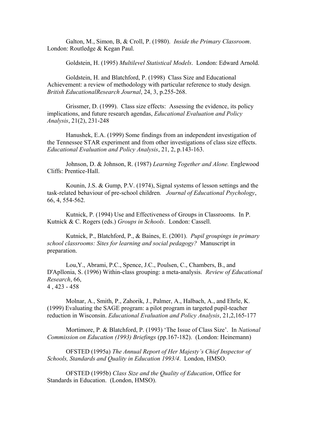Galton, M., Simon, B, & Croll, P. (1980). *Inside the Primary Classroom*. London: Routledge & Kegan Paul.

Goldstein, H. (1995) *Multilevel Statistical Models*. London: Edward Arnold.

Goldstein, H. and Blatchford, P. (1998) Class Size and Educational Achievement: a review of methodology with particular reference to study design*. British EducationalResearch Journal*, 24, 3, p.255-268.

Grissmer, D. (1999). Class size effects: Assessing the evidence, its policy implications, and future research agendas, *Educational Evaluation and Policy Analysis*, 21(2), 231-248

Hanushek, E.A. (1999) Some findings from an independent investigation of the Tennessee STAR experiment and from other investigations of class size effects. *Educational Evaluation and Policy Analysis*, 21, 2, p.143-163.

Johnson, D. & Johnson, R. (1987) *Learning Together and Alone.* Englewood Cliffs: Prentice-Hall.

Kounin, J.S. & Gump, P.V. (1974), Signal systems of lesson settings and the task-related behaviour of pre-school children*. Journal of Educational Psychology*, 66, 4, 554-562.

Kutnick, P. (1994) Use and Effectiveness of Groups in Classrooms. In P. Kutnick & C. Rogers (eds.) *Groups in Schools*. London: Cassell.

Kutnick, P., Blatchford, P., & Baines, E. (2001). *Pupil groupings in primary school classrooms: Sites for learning and social pedagogy?* Manuscript in preparation.

Lou,Y., Abrami, P.C., Spence, J.C., Poulsen, C., Chambers, B., and D'Apllonia, S. (1996) Within-class grouping: a meta-analysis. *Review of Educational Research*, 66, 4 , 423 - 458

Molnar, A., Smith, P., Zahorik, J., Palmer, A., Halbach, A., and Ehrle, K. (1999) Evaluating the SAGE program: a pilot program in targeted pupil-teacher reduction in Wisconsin. *Educational Evaluation and Policy Analysis*, 21,2,165-177

Mortimore, P. & Blatchford, P. (1993) 'The Issue of Class Size'. In *National Commission on Education (1993) Briefings* (pp.167-182). (London: Heinemann)

OFSTED (1995a) *The Annual Report of Her Majesty's Chief Inspector of Schools, Standards and Quality in Education 1993/4*. London, HMSO.

OFSTED (1995b) *Class Size and the Quality of Education*, Office for Standards in Education. (London, HMSO).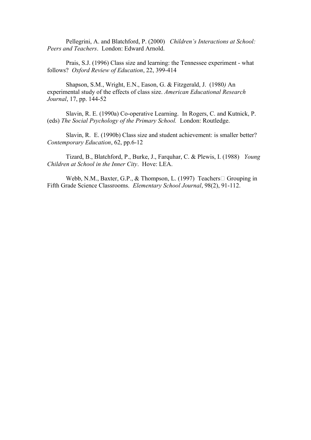Pellegrini, A. and Blatchford, P. (2000) *Children's Interactions at School: Peers and Teachers*. London: Edward Arnold.

Prais, S.J. (1996) Class size and learning: the Tennessee experiment - what follows? *Oxford Review of Education*, 22, 399-414

Shapson, S.M., Wright, E.N., Eason, G. & Fitzgerald, J. (1980*)* An experimental study of the effects of class size. *American Educational Research Journal*, 17, pp. 144-52

Slavin, R. E. (1990a) Co-operative Learning. In Rogers, C. and Kutnick, P. (eds) *The Social Psychology of the Primary School.* London: Routledge.

Slavin, R. E. (1990b) Class size and student achievement: is smaller better? *Contemporary Education*, 62, pp.6-12

Tizard, B., Blatchford, P., Burke, J., Farquhar, C. & Plewis, I. (1988) *Young Children at School in the Inner City*. Hove: LEA.

Webb, N.M., Baxter, G.P., & Thompson, L. (1997) Teachers  $\Box$  Grouping in Fifth Grade Science Classrooms. *Elementary School Journal*, 98(2), 91-112.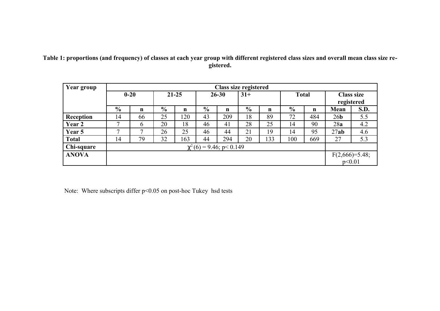# **Table 1: proportions (and frequency) of classes at each year group with different registered class sizes and overall mean class size registered.**

| Year group       |               | Class size registered         |           |     |                    |             |               |                            |               |             |                   |             |  |
|------------------|---------------|-------------------------------|-----------|-----|--------------------|-------------|---------------|----------------------------|---------------|-------------|-------------------|-------------|--|
|                  | $0 - 20$      |                               | $21 - 25$ |     | $31+$<br>$26 - 30$ |             |               |                            | <b>Total</b>  |             | <b>Class size</b> |             |  |
|                  |               |                               |           |     |                    |             |               |                            |               |             |                   | registered  |  |
|                  | $\frac{0}{0}$ | n                             | $\%$      | n   | $\frac{0}{0}$      | $\mathbf n$ | $\frac{0}{0}$ | $\mathbf n$                | $\frac{0}{0}$ | $\mathbf n$ | Mean              | <b>S.D.</b> |  |
| <b>Reception</b> | 14            | 66                            | 25        | 120 | 43                 | 209         | 18            | 89                         | 72            | 484         | 26 <sub>b</sub>   | 5.5         |  |
| Year 2           | $\mathbf{r}$  | $\mathfrak b$                 | 20        | 18  | 46                 | 41          | 28            | 25                         | 14            | 90          | 28a               | 4.2         |  |
| Year 5           | $\mathbf{r}$  |                               | 26        | 25  | 46                 | 44          | 21            | 19                         | 14            | 95          | 27ab              | 4.6         |  |
| <b>Total</b>     | 14            | 79                            | 32        | 163 | 44                 | 294         | 20            | 133                        | 100           | 669         | 27                | 5.3         |  |
| Chi-square       |               | $\chi^2(6) = 9.46$ ; p< 0.149 |           |     |                    |             |               |                            |               |             |                   |             |  |
| <b>ANOVA</b>     |               |                               |           |     |                    |             |               | $F(2,666)=5.48;$<br>p<0.01 |               |             |                   |             |  |
|                  |               |                               |           |     |                    |             |               |                            |               |             |                   |             |  |

Note: Where subscripts differ p<0.05 on post-hoc Tukey hsd tests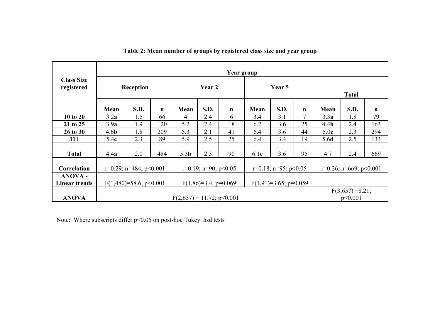|                                        | Year group                                                                                     |      |             |                              |        |    |      |                                |             |                               |      |     |
|----------------------------------------|------------------------------------------------------------------------------------------------|------|-------------|------------------------------|--------|----|------|--------------------------------|-------------|-------------------------------|------|-----|
| <b>Class Size</b><br>registered        | Reception                                                                                      |      | Year 2      |                              | Year 5 |    |      | <b>Total</b>                   |             |                               |      |     |
|                                        | Mean                                                                                           | S.D. | $\mathbf n$ | Mean                         | S.D.   | n  | Mean | S.D.                           | $\mathbf n$ | Mean                          | S.D. | n   |
| 10 to 20                               | 3.2a                                                                                           | 1.5  | 66          | $\overline{4}$               | 2.4    | 6  | 3.4  | 3.1                            | 7           | 3.3a                          | 1.8  | 79  |
| 21 to 25                               | 3.9a                                                                                           | 1.9  | 120         | 5.2                          | 2.4    | 18 | 6.2  | 3.6                            | 25          | 4.4 <sub>b</sub>              | 2.4  | 163 |
| 26 to 30                               | 4.6 <sub>b</sub>                                                                               | 1.8  | 209         | 5.3                          | 2.1    | 41 | 6.4  | 3.6                            | 44          | 5.0 <sub>c</sub>              | 2.3  | 294 |
| $31+$                                  | 5.4c                                                                                           | 2.3  | 89          | 5.9                          | 2.5    | 25 | 6.4  | 3.4                            | 19          | 5.6d                          | 2.5  | 133 |
| <b>Total</b>                           | 4.4a                                                                                           | 2.0  | 484         | 5.3 <sub>b</sub>             | 2.3    | 90 | 6.1c | 3.6                            | 95          | 4.7                           | 2.4  | 669 |
| Correlation                            | $r=0.19$ ; $n=90$ ; $p<0.05$<br>$r=0.18$ ; $n=95$ ; $p<0.05$<br>$r=0.29$ ; $n=484$ ; $p<0.001$ |      |             |                              |        |    |      | $r=0.26$ ; $n=669$ ; $p<0.001$ |             |                               |      |     |
| <b>ANOVA -</b><br><b>Linear trends</b> | $F(1,91)=3.65$ ; p=0.059<br>$F(1,480)=58.6; p<0.001$<br>$F(1,86)=3.4$ ; p=0.069                |      |             |                              |        |    |      |                                |             |                               |      |     |
| <b>ANOVA</b>                           |                                                                                                |      |             | $F(2,657) = 11.72$ ; p<0.001 |        |    |      |                                |             | $F(3,657) = 8.21;$<br>p<0.001 |      |     |

**Table 2: Mean number of groups by registered class size and year group**

Note: Where subscripts differ p<0.05 on post-hoc Tukey hsd tests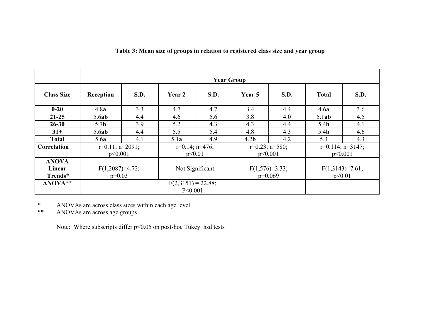# **Table 3: Mean size of groups in relation to registered class size and year group**

|                   | <b>Year Group</b>     |           |                      |                 |                  |                      |                  |                        |  |
|-------------------|-----------------------|-----------|----------------------|-----------------|------------------|----------------------|------------------|------------------------|--|
| <b>Class Size</b> | Reception             | S.D.      | Year 2               | S.D.            | Year 5           | S.D.                 | <b>Total</b>     | S.D.                   |  |
| $0 - 20$          | 4.8a                  | 3.3       | 4.7                  | 4.7             | 3.4              | 4.4                  | 4.6a             | 3.6                    |  |
| $21 - 25$         | 5.6ab                 | 4.4       | 4.6                  | 5.6             | 3.8              | 4.0                  | 5.1ab            | 4.5                    |  |
| $26 - 30$         | 5.7 <sub>b</sub>      | 3.9       | 5.2                  | 4.3             | 4.3              | 4.4                  | 5.4 <sub>b</sub> | 4.1                    |  |
| $31+$             | 5.6ab                 | 4.4       | 5.5                  | 5.4             | 4.8              | 4.3                  | 5.4 <sub>b</sub> | 4.6                    |  |
| <b>Total</b>      | 5.6a                  | 4.1       | 5.1a                 | 4.9             | 4.2 <sub>b</sub> | 4.2                  | 5.3              | 4.3                    |  |
| Correlation       | $r=0.11$ ; $n=2091$ ; |           | $r=0.14$ ; $n=476$ ; |                 |                  | $r=0.23$ ; $n=580$ ; |                  | $r=0.114$ ; $n=3147$ ; |  |
|                   |                       | p<0.001   |                      | p<0.01          |                  | p<0.001              |                  | p<0.001                |  |
| <b>ANOVA</b>      |                       |           |                      |                 |                  |                      |                  |                        |  |
| Linear            | $F(1,2087)=4.72;$     |           |                      | Not Significant | $F(1,576)=3.33;$ |                      |                  | $F(1,3143)=7.61;$      |  |
| Trends*           | $p=0.03$              |           |                      |                 | $p=0.069$        |                      | p<0.01           |                        |  |
| ANOVA**           |                       |           | $F(2,3151) = 22.88;$ |                 |                  |                      |                  |                        |  |
|                   |                       | P < 0.001 |                      |                 |                  |                      |                  |                        |  |

\* ANOVAs are across class sizes within each age level<br>\*\* ANOVAs are across age groups

ANOVAs are across age groups

Note: Where subscripts differ p<0.05 on post-hoc Tukey hsd tests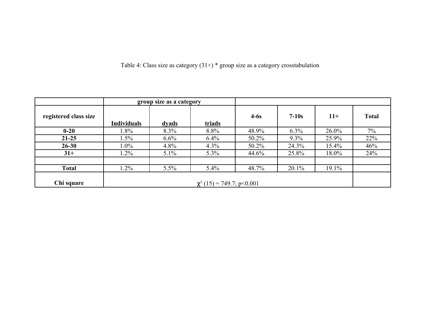Table 4: Class size as category  $(31+)$  \* group size as a category crosstabulation

|                       |                    | group size as a category       |         |        |          |          |              |  |
|-----------------------|--------------------|--------------------------------|---------|--------|----------|----------|--------------|--|
| registered class size | <b>Individuals</b> | <u>dyads</u>                   | triads  | $4-6s$ | $7-10s$  | $11+$    | <b>Total</b> |  |
| $0 - 20$              | 1.8%               | 8.3%                           | 8.8%    | 48.9%  | $6.3\%$  | $26.0\%$ | $7\%$        |  |
| $21 - 25$             | $1.5\%$            | 6.6%                           | 6.4%    | 50.2%  | $9.3\%$  | 25.9%    | 22%          |  |
| $26 - 30$             | $1.0\%$            | 4.8%                           | 4.3%    | 50.2%  | 24.3%    | 15.4%    | 46%          |  |
| $31+$                 | $1.2\%$            | 5.1%                           | 5.3%    | 44.6%  | 25.8%    | 18.0%    | 24%          |  |
|                       |                    |                                |         |        |          |          |              |  |
| <b>Total</b>          | $.2\%$             | 5.5%                           | $5.4\%$ | 48.7%  | $20.1\%$ | 19.1%    |              |  |
| Chi square            |                    | $\chi^2$ (15) = 749.7; p<0.001 |         |        |          |          |              |  |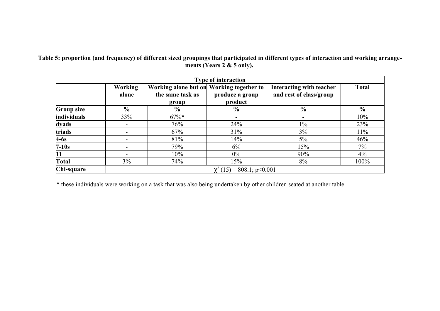**Table 5: proportion (and frequency) of different sized groupings that participated in different types of interaction and working arrangements (Years 2 & 5 only).** 

|             |                         |                                                                       | <b>Type of interaction</b>     |                                                     |                |
|-------------|-------------------------|-----------------------------------------------------------------------|--------------------------------|-----------------------------------------------------|----------------|
|             | <b>Working</b><br>alone | Working alone but on Working together to<br>the same task as<br>group | produce a group<br>product     | Interacting with teacher<br>and rest of class/group | <b>Total</b>   |
| Group size  | $\frac{6}{9}$           | $\frac{6}{9}$                                                         | $\frac{6}{6}$                  | $\frac{6}{6}$                                       | $\frac{6}{10}$ |
| individuals | 33%                     | $67\%*$                                                               | -                              | $\overline{\phantom{a}}$                            | 10%            |
| dyads       |                         | 76%                                                                   | 24%                            | $1\%$                                               | 23%            |
| triads      |                         | 67%                                                                   | 31%                            | 3%                                                  | 11%            |
| $4-6s$      |                         | 81%                                                                   | 14%                            | 5%                                                  | 46%            |
| $7-10s$     |                         | 79%                                                                   | 6%                             | 15%                                                 | 7%             |
| $ 11+$      |                         | 10%                                                                   | $0\%$                          | 90%                                                 | $4\%$          |
| Total       | 3%                      | 74%                                                                   | 15%                            | 8%                                                  | 100%           |
| Chi-square  |                         |                                                                       | $\chi^2$ (15) = 808.1; p<0.001 |                                                     |                |

\* these individuals were working on a task that was also being undertaken by other children seated at another table.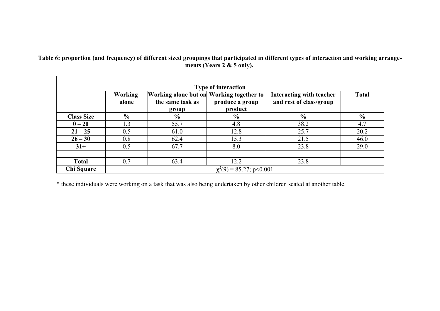**Table 6: proportion (and frequency) of different sized groupings that participated in different types of interaction and working arrangements (Years 2 & 5 only).** 

| <b>Type of interaction</b> |                         |                                                                       |                               |                                                     |               |  |  |  |  |
|----------------------------|-------------------------|-----------------------------------------------------------------------|-------------------------------|-----------------------------------------------------|---------------|--|--|--|--|
|                            | <b>Working</b><br>alone | Working alone but on Working together to<br>the same task as<br>group | produce a group<br>product    | Interacting with teacher<br>and rest of class/group | <b>Total</b>  |  |  |  |  |
| <b>Class Size</b>          | $\frac{0}{0}$           | $\frac{6}{10}$                                                        | $\frac{1}{2}$                 | $\frac{0}{0}$                                       | $\frac{0}{0}$ |  |  |  |  |
| $0 - 20$                   | 1.3                     | 55.7                                                                  | 4.8                           | 38.2                                                | 4.7           |  |  |  |  |
| $21 - 25$                  | 0.5                     | 61.0                                                                  | 12.8                          | 25.7                                                | 20.2          |  |  |  |  |
| $26 - 30$                  | 0.8                     | 62.4                                                                  | 15.3                          | 21.5                                                | 46.0          |  |  |  |  |
| $31+$                      | 0.5                     | 67.7                                                                  | 8.0                           | 23.8                                                | 29.0          |  |  |  |  |
| <b>Total</b>               | 0.7                     | 63.4                                                                  | 12.2                          | 23.8                                                |               |  |  |  |  |
| Chi Square                 |                         |                                                                       | $\chi^2(9) = 85.27$ ; p<0.001 |                                                     |               |  |  |  |  |

\* these individuals were working on a task that was also being undertaken by other children seated at another table.